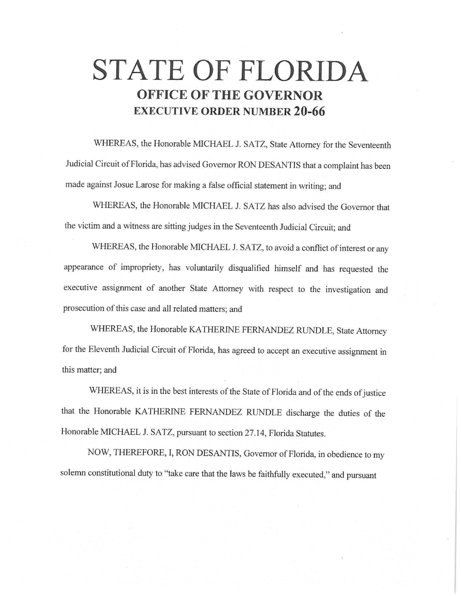# **STATE OF FLORIDA OFFICE OF THE GOVERNOR EXECUTIVE ORDER NUMBER 20-66**

WHEREAS, the Honorable MICHAEL J. SATZ, State Attorney for the Seventeenth Judicial Circuit of Florida, has advised Governor RON DESANTIS that a complaint has been made against Josue Larose for making a false official statement in writing; and

WHEREAS, the Honorable MICHAEL J. SATZ has also advised the Governor that the victim and a witness are sitting judges in the Seventeenth Judicial Circuit; and

WHEREAS, the Honorable MICHAEL J. SATZ, to avoid a conflict of interest or any appearance of impropriety, has voluntarily disqualified himself and has requested the executive assignment of another State Attorney with respect to the investigation and prosecution of this case and all related matters; and

WHEREAS, the Honorable KA THERINE FERNANDEZ RUNDLE, State Attorney for the Eleventh Judicial Circuit of Florida, has agreed to accept an executive assignment in this matter; and

WHEREAS, it is in the best interests of the State of Florida and of the ends of justice that the Honorable KATHERINE FERNANDEZ RUNDLE discharge the duties of the Honorable MICHAEL J. SATZ, pursuant to section 27.14, Florida Statutes.

NOW, THEREFORE, I, RON DESANTIS, Governor of Florida, in obedience to my solemn constitutional duty to "take care that the laws be faithfully executed," and pursuant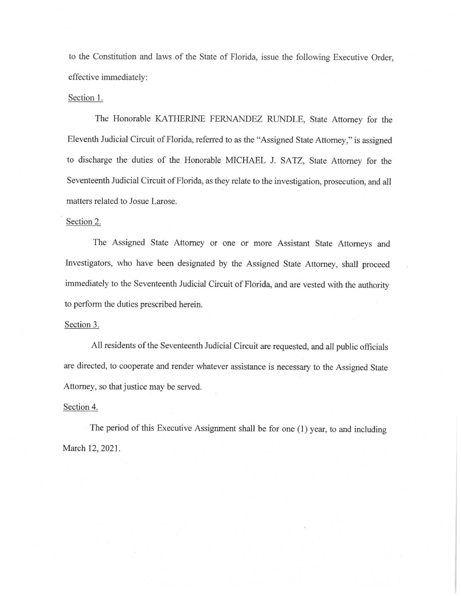to the Constitution and laws of the State of Florida, issue the following Executive Order, effective immediately:

#### Section 1.

The Honorable KATHERINE FERNANDEZ RUNDLE, State Attorney for the Eleventh Judicial Circuit of Florida, referred to as the "Assigned State Attorney," is assigned to discharge the duties of the Honorable MICHAEL J. SATZ, State Attorney for the Seventeenth Judicial Circuit of Florida, as they relate to the investigation, prosecution, and all matters related to Josue Larose.

#### Section 2.

The Assigned State Attorney or one or more Assistant State Attorneys and Investigators, who have been designated by the Assigned State Attorney, shall proceed immediately to the Seventeenth Judicial Circuit of Florida, and are vested with the authority to perform the duties prescribed herein.

## Section 3.

All residents of the Seventeenth Judicial Circuit are requested, and all public officials are directed, to cooperate and render whatever assistance is necessary to the Assigned State Attorney, so that justice may be served.

### Section 4.

The period of this Executive Assignment shall be for one (I) year, to and including March 12, 2021.